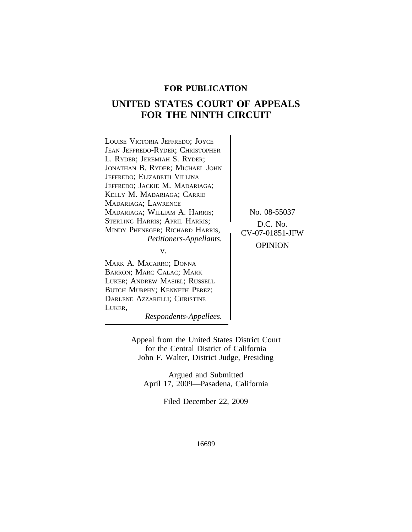## **FOR PUBLICATION**

# **UNITED STATES COURT OF APPEALS FOR THE NINTH CIRCUIT**

| LOUISE VICTORIA JEFFREDO; JOYCE         |                 |
|-----------------------------------------|-----------------|
| <b>JEAN JEFFREDO-RYDER; CHRISTOPHER</b> |                 |
| L. RYDER; JEREMIAH S. RYDER;            |                 |
| JONATHAN B. RYDER; MICHAEL JOHN         |                 |
| JEFFREDO; ELIZABETH VILLINA             |                 |
| JEFFREDO; JACKIE M. MADARIAGA;          |                 |
| KELLY M. MADARIAGA; CARRIE              |                 |
| MADARIAGA; LAWRENCE                     |                 |
| MADARIAGA; WILLIAM A. HARRIS;           | No. 08-55037    |
| STERLING HARRIS; APRIL HARRIS;          | $D.C.$ No.      |
| MINDY PHENEGER; RICHARD HARRIS,         | CV-07-01851-JFW |
| Petitioners-Appellants.                 |                 |
| v.                                      | <b>OPINION</b>  |
|                                         |                 |
| MADE A MACARDO' DOMMA                   |                 |

MARK A. MACARRO; DONNA BARRON; MARC CALAC; MARK LUKER; ANDREW MASIEL; RUSSELL BUTCH MURPHY; KENNETH PEREZ; DARLENE AZZARELLI; CHRISTINE LUKER,

*Respondents-Appellees.*

Appeal from the United States District Court for the Central District of California John F. Walter, District Judge, Presiding

Argued and Submitted April 17, 2009—Pasadena, California

Filed December 22, 2009

16699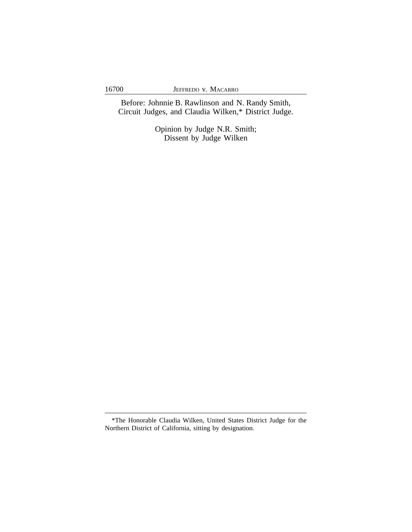Before: Johnnie B. Rawlinson and N. Randy Smith, Circuit Judges, and Claudia Wilken,\* District Judge.

> Opinion by Judge N.R. Smith; Dissent by Judge Wilken

<sup>\*</sup>The Honorable Claudia Wilken, United States District Judge for the Northern District of California, sitting by designation.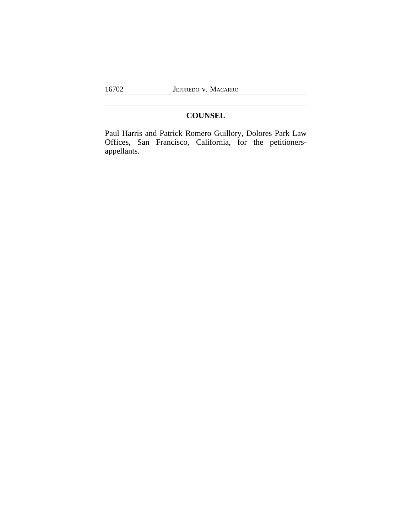## **COUNSEL**

Paul Harris and Patrick Romero Guillory, Dolores Park Law Offices, San Francisco, California, for the petitionersappellants.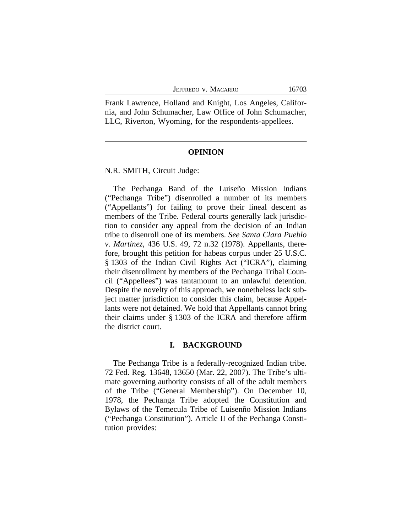|  |  | Jeffredo v. Macarro |
|--|--|---------------------|
|--|--|---------------------|

Frank Lawrence, Holland and Knight, Los Angeles, California, and John Schumacher, Law Office of John Schumacher, LLC, Riverton, Wyoming, for the respondents-appellees.

#### **OPINION**

N.R. SMITH, Circuit Judge:

The Pechanga Band of the Luiseño Mission Indians ("Pechanga Tribe") disenrolled a number of its members ("Appellants") for failing to prove their lineal descent as members of the Tribe. Federal courts generally lack jurisdiction to consider any appeal from the decision of an Indian tribe to disenroll one of its members. *See Santa Clara Pueblo v. Martinez*, 436 U.S. 49, 72 n.32 (1978). Appellants, therefore, brought this petition for habeas corpus under 25 U.S.C. § 1303 of the Indian Civil Rights Act ("ICRA"), claiming their disenrollment by members of the Pechanga Tribal Council ("Appellees") was tantamount to an unlawful detention. Despite the novelty of this approach, we nonetheless lack subject matter jurisdiction to consider this claim, because Appellants were not detained. We hold that Appellants cannot bring their claims under § 1303 of the ICRA and therefore affirm the district court.

#### **I. BACKGROUND**

The Pechanga Tribe is a federally-recognized Indian tribe. 72 Fed. Reg. 13648, 13650 (Mar. 22, 2007). The Tribe's ultimate governing authority consists of all of the adult members of the Tribe ("General Membership"). On December 10, 1978, the Pechanga Tribe adopted the Constitution and Bylaws of the Temecula Tribe of Luisenño Mission Indians ("Pechanga Constitution"). Article II of the Pechanga Constitution provides: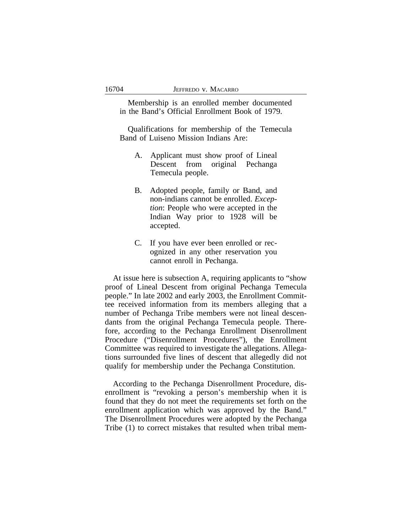Membership is an enrolled member documented in the Band's Official Enrollment Book of 1979.

Qualifications for membership of the Temecula Band of Luiseno Mission Indians Are:

- A. Applicant must show proof of Lineal Descent from original Pechanga Temecula people.
- B. Adopted people, family or Band, and non-indians cannot be enrolled. *Exception*: People who were accepted in the Indian Way prior to 1928 will be accepted.
- C. If you have ever been enrolled or recognized in any other reservation you cannot enroll in Pechanga.

At issue here is subsection A, requiring applicants to "show proof of Lineal Descent from original Pechanga Temecula people." In late 2002 and early 2003, the Enrollment Committee received information from its members alleging that a number of Pechanga Tribe members were not lineal descendants from the original Pechanga Temecula people. Therefore, according to the Pechanga Enrollment Disenrollment Procedure ("Disenrollment Procedures"), the Enrollment Committee was required to investigate the allegations. Allegations surrounded five lines of descent that allegedly did not qualify for membership under the Pechanga Constitution.

According to the Pechanga Disenrollment Procedure, disenrollment is "revoking a person's membership when it is found that they do not meet the requirements set forth on the enrollment application which was approved by the Band." The Disenrollment Procedures were adopted by the Pechanga Tribe (1) to correct mistakes that resulted when tribal mem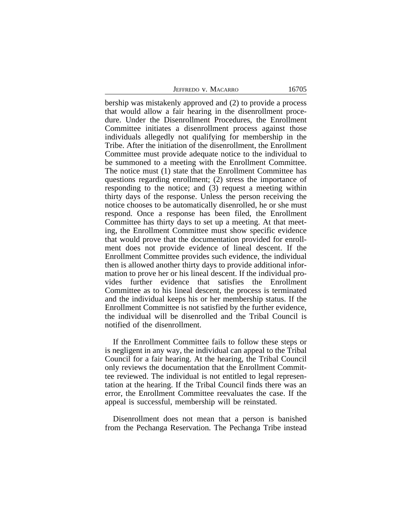JEFFREDO V. MACARRO 16705

bership was mistakenly approved and (2) to provide a process that would allow a fair hearing in the disenrollment procedure. Under the Disenrollment Procedures, the Enrollment Committee initiates a disenrollment process against those individuals allegedly not qualifying for membership in the Tribe. After the initiation of the disenrollment, the Enrollment Committee must provide adequate notice to the individual to be summoned to a meeting with the Enrollment Committee. The notice must (1) state that the Enrollment Committee has questions regarding enrollment; (2) stress the importance of responding to the notice; and (3) request a meeting within thirty days of the response. Unless the person receiving the notice chooses to be automatically disenrolled, he or she must respond. Once a response has been filed, the Enrollment Committee has thirty days to set up a meeting. At that meeting, the Enrollment Committee must show specific evidence that would prove that the documentation provided for enrollment does not provide evidence of lineal descent. If the Enrollment Committee provides such evidence, the individual then is allowed another thirty days to provide additional information to prove her or his lineal descent. If the individual provides further evidence that satisfies the Enrollment Committee as to his lineal descent, the process is terminated and the individual keeps his or her membership status. If the Enrollment Committee is not satisfied by the further evidence, the individual will be disenrolled and the Tribal Council is notified of the disenrollment.

If the Enrollment Committee fails to follow these steps or is negligent in any way, the individual can appeal to the Tribal Council for a fair hearing. At the hearing, the Tribal Council only reviews the documentation that the Enrollment Committee reviewed. The individual is not entitled to legal representation at the hearing. If the Tribal Council finds there was an error, the Enrollment Committee reevaluates the case. If the appeal is successful, membership will be reinstated.

Disenrollment does not mean that a person is banished from the Pechanga Reservation. The Pechanga Tribe instead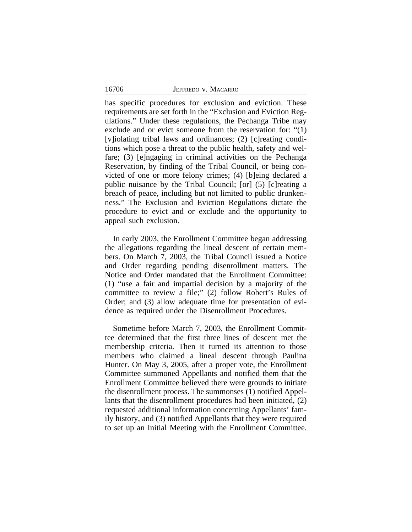has specific procedures for exclusion and eviction. These requirements are set forth in the "Exclusion and Eviction Regulations." Under these regulations, the Pechanga Tribe may exclude and or evict someone from the reservation for: "(1) [v]iolating tribal laws and ordinances; (2) [c]reating conditions which pose a threat to the public health, safety and welfare; (3) [e]ngaging in criminal activities on the Pechanga Reservation, by finding of the Tribal Council, or being convicted of one or more felony crimes; (4) [b]eing declared a public nuisance by the Tribal Council; [or] (5) [c]reating a breach of peace, including but not limited to public drunkenness." The Exclusion and Eviction Regulations dictate the procedure to evict and or exclude and the opportunity to appeal such exclusion.

In early 2003, the Enrollment Committee began addressing the allegations regarding the lineal descent of certain members. On March 7, 2003, the Tribal Council issued a Notice and Order regarding pending disenrollment matters. The Notice and Order mandated that the Enrollment Committee: (1) "use a fair and impartial decision by a majority of the committee to review a file;" (2) follow Robert's Rules of Order; and (3) allow adequate time for presentation of evidence as required under the Disenrollment Procedures.

Sometime before March 7, 2003, the Enrollment Committee determined that the first three lines of descent met the membership criteria. Then it turned its attention to those members who claimed a lineal descent through Paulina Hunter. On May 3, 2005, after a proper vote, the Enrollment Committee summoned Appellants and notified them that the Enrollment Committee believed there were grounds to initiate the disenrollment process. The summonses (1) notified Appellants that the disenrollment procedures had been initiated, (2) requested additional information concerning Appellants' family history, and (3) notified Appellants that they were required to set up an Initial Meeting with the Enrollment Committee.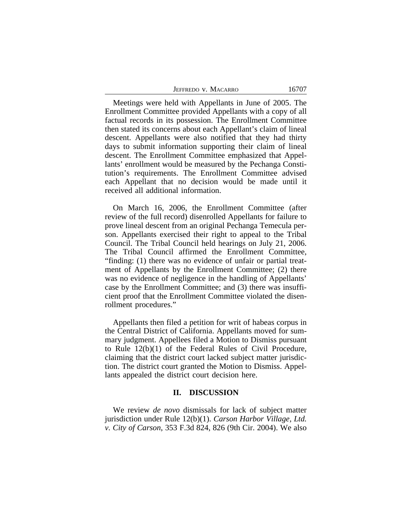Meetings were held with Appellants in June of 2005. The Enrollment Committee provided Appellants with a copy of all factual records in its possession. The Enrollment Committee then stated its concerns about each Appellant's claim of lineal descent. Appellants were also notified that they had thirty days to submit information supporting their claim of lineal descent. The Enrollment Committee emphasized that Appellants' enrollment would be measured by the Pechanga Constitution's requirements. The Enrollment Committee advised each Appellant that no decision would be made until it received all additional information.

On March 16, 2006, the Enrollment Committee (after review of the full record) disenrolled Appellants for failure to prove lineal descent from an original Pechanga Temecula person. Appellants exercised their right to appeal to the Tribal Council. The Tribal Council held hearings on July 21, 2006. The Tribal Council affirmed the Enrollment Committee, "finding: (1) there was no evidence of unfair or partial treatment of Appellants by the Enrollment Committee; (2) there was no evidence of negligence in the handling of Appellants' case by the Enrollment Committee; and (3) there was insufficient proof that the Enrollment Committee violated the disenrollment procedures."

Appellants then filed a petition for writ of habeas corpus in the Central District of California. Appellants moved for summary judgment. Appellees filed a Motion to Dismiss pursuant to Rule 12(b)(1) of the Federal Rules of Civil Procedure, claiming that the district court lacked subject matter jurisdiction. The district court granted the Motion to Dismiss. Appellants appealed the district court decision here.

### **II. DISCUSSION**

We review *de novo* dismissals for lack of subject matter jurisdiction under Rule 12(b)(1). *Carson Harbor Village, Ltd. v. City of Carson*, 353 F.3d 824, 826 (9th Cir. 2004). We also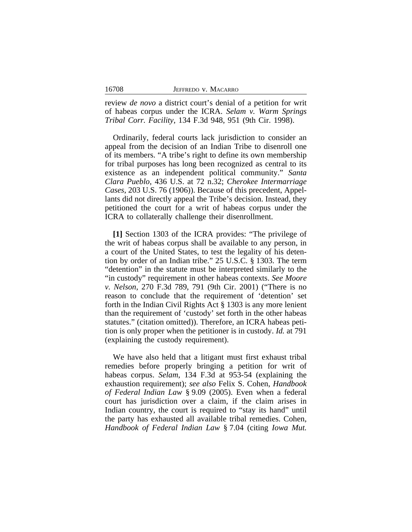| 16708<br>JEFFREDO V. MACARRO |  |
|------------------------------|--|
|                              |  |

review *de novo* a district court's denial of a petition for writ of habeas corpus under the ICRA. *Selam v. Warm Springs Tribal Corr. Facility*, 134 F.3d 948, 951 (9th Cir. 1998).

Ordinarily, federal courts lack jurisdiction to consider an appeal from the decision of an Indian Tribe to disenroll one of its members. "A tribe's right to define its own membership for tribal purposes has long been recognized as central to its existence as an independent political community." *Santa Clara Pueblo*, 436 U.S. at 72 n.32; *Cherokee Intermarriage Cases*, 203 U.S. 76 (1906)). Because of this precedent, Appellants did not directly appeal the Tribe's decision. Instead, they petitioned the court for a writ of habeas corpus under the ICRA to collaterally challenge their disenrollment.

**[1]** Section 1303 of the ICRA provides: "The privilege of the writ of habeas corpus shall be available to any person, in a court of the United States, to test the legality of his detention by order of an Indian tribe." 25 U.S.C. § 1303. The term "detention" in the statute must be interpreted similarly to the "in custody" requirement in other habeas contexts. *See Moore v. Nelson*, 270 F.3d 789, 791 (9th Cir. 2001) ("There is no reason to conclude that the requirement of 'detention' set forth in the Indian Civil Rights Act § 1303 is any more lenient than the requirement of 'custody' set forth in the other habeas statutes." (citation omitted)). Therefore, an ICRA habeas petition is only proper when the petitioner is in custody. *Id.* at 791 (explaining the custody requirement).

We have also held that a litigant must first exhaust tribal remedies before properly bringing a petition for writ of habeas corpus. *Selam*, 134 F.3d at 953-54 (explaining the exhaustion requirement); *see also* Felix S. Cohen, *Handbook of Federal Indian Law* § 9.09 (2005). Even when a federal court has jurisdiction over a claim, if the claim arises in Indian country, the court is required to "stay its hand" until the party has exhausted all available tribal remedies. Cohen, *Handbook of Federal Indian Law* § 7.04 (citing *Iowa Mut.*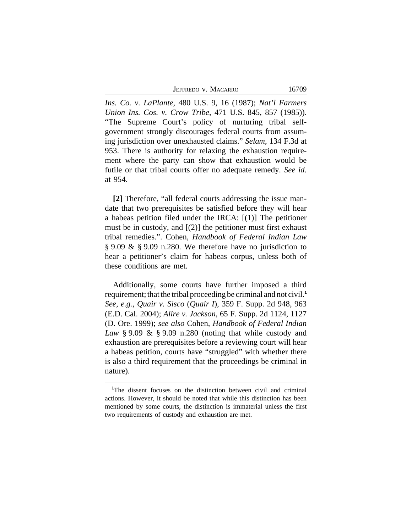JEFFREDO V. MACARRO 16709

*Ins. Co. v. LaPlante*, 480 U.S. 9, 16 (1987); *Nat'l Farmers Union Ins. Cos. v. Crow Tribe*, 471 U.S. 845, 857 (1985)). "The Supreme Court's policy of nurturing tribal selfgovernment strongly discourages federal courts from assuming jurisdiction over unexhausted claims." *Selam*, 134 F.3d at 953. There is authority for relaxing the exhaustion requirement where the party can show that exhaustion would be futile or that tribal courts offer no adequate remedy. *See id.* at 954.

**[2]** Therefore, "all federal courts addressing the issue mandate that two prerequisites be satisfied before they will hear a habeas petition filed under the IRCA: [(1)] The petitioner must be in custody, and  $[(2)]$  the petitioner must first exhaust tribal remedies.". Cohen, *Handbook of Federal Indian Law* § 9.09 & § 9.09 n.280. We therefore have no jurisdiction to hear a petitioner's claim for habeas corpus, unless both of these conditions are met.

Additionally, some courts have further imposed a third requirement; that the tribal proceeding be criminal and not civil.**<sup>1</sup>** *See, e.g.*, *Quair v. Sisco* (*Quair I*), 359 F. Supp. 2d 948, 963 (E.D. Cal. 2004); *Alire v. Jackson*, 65 F. Supp. 2d 1124, 1127 (D. Ore. 1999); *see also* Cohen, *Handbook of Federal Indian Law* § 9.09 & § 9.09 n.280 (noting that while custody and exhaustion are prerequisites before a reviewing court will hear a habeas petition, courts have "struggled" with whether there is also a third requirement that the proceedings be criminal in nature).

**<sup>1</sup>**The dissent focuses on the distinction between civil and criminal actions. However, it should be noted that while this distinction has been mentioned by some courts, the distinction is immaterial unless the first two requirements of custody and exhaustion are met.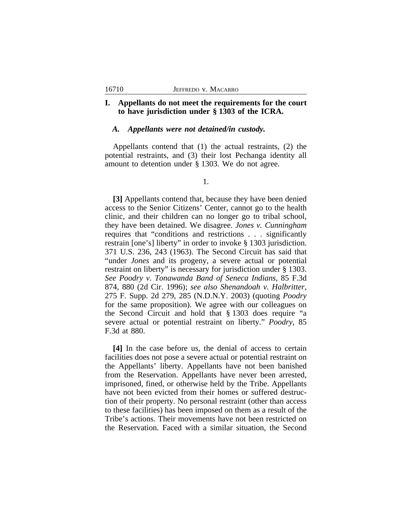### **I. Appellants do not meet the requirements for the court to have jurisdiction under § 1303 of the ICRA.**

### *A. Appellants were not detained/in custody.*

Appellants contend that (1) the actual restraints, (2) the potential restraints, and (3) their lost Pechanga identity all amount to detention under § 1303. We do not agree.

1.

**[3]** Appellants contend that, because they have been denied access to the Senior Citizens' Center, cannot go to the health clinic, and their children can no longer go to tribal school, they have been detained. We disagree. *Jones v. Cunningham* requires that "conditions and restrictions . . . significantly restrain [one's] liberty" in order to invoke § 1303 jurisdiction. 371 U.S. 236, 243 (1963). The Second Circuit has said that "under *Jones* and its progeny, a severe actual or potential restraint on liberty" is necessary for jurisdiction under § 1303. *See Poodry v. Tonawanda Band of Seneca Indians*, 85 F.3d 874, 880 (2d Cir. 1996); *see also Shenandoah v. Halbritter*, 275 F. Supp. 2d 279, 285 (N.D.N.Y. 2003) (quoting *Poodry* for the same proposition). We agree with our colleagues on the Second Circuit and hold that § 1303 does require "a severe actual or potential restraint on liberty." *Poodry*, 85 F.3d at 880.

**[4]** In the case before us, the denial of access to certain facilities does not pose a severe actual or potential restraint on the Appellants' liberty. Appellants have not been banished from the Reservation. Appellants have never been arrested, imprisoned, fined, or otherwise held by the Tribe. Appellants have not been evicted from their homes or suffered destruction of their property. No personal restraint (other than access to these facilities) has been imposed on them as a result of the Tribe's actions. Their movements have not been restricted on the Reservation. Faced with a similar situation, the Second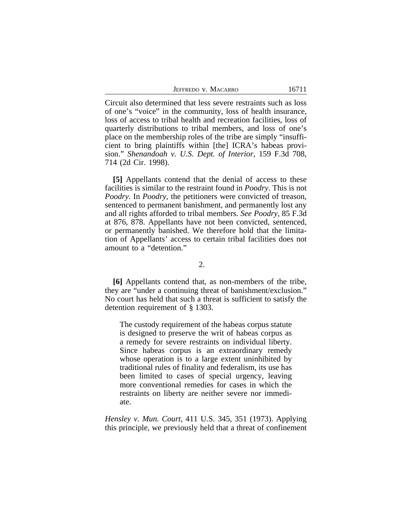JEFFREDO V. MACARRO 16711

Circuit also determined that less severe restraints such as loss of one's "voice" in the community, loss of health insurance, loss of access to tribal health and recreation facilities, loss of quarterly distributions to tribal members, and loss of one's place on the membership roles of the tribe are simply "insufficient to bring plaintiffs within [the] ICRA's habeas provision." *Shenandoah v. U.S. Dept. of Interior*, 159 F.3d 708, 714 (2d Cir. 1998).

**[5]** Appellants contend that the denial of access to these facilities is similar to the restraint found in *Poodry*. This is not *Poodry*. In *Poodry*, the petitioners were convicted of treason, sentenced to permanent banishment, and permanently lost any and all rights afforded to tribal members. *See Poodry*, 85 F.3d at 876, 878. Appellants have not been convicted, sentenced, or permanently banished. We therefore hold that the limitation of Appellants' access to certain tribal facilities does not amount to a "detention."

2.

**[6]** Appellants contend that, as non-members of the tribe, they are "under a continuing threat of banishment/exclusion." No court has held that such a threat is sufficient to satisfy the detention requirement of § 1303.

The custody requirement of the habeas corpus statute is designed to preserve the writ of habeas corpus as a remedy for severe restraints on individual liberty. Since habeas corpus is an extraordinary remedy whose operation is to a large extent uninhibited by traditional rules of finality and federalism, its use has been limited to cases of special urgency, leaving more conventional remedies for cases in which the restraints on liberty are neither severe nor immediate.

*Hensley v. Mun. Court*, 411 U.S. 345, 351 (1973). Applying this principle, we previously held that a threat of confinement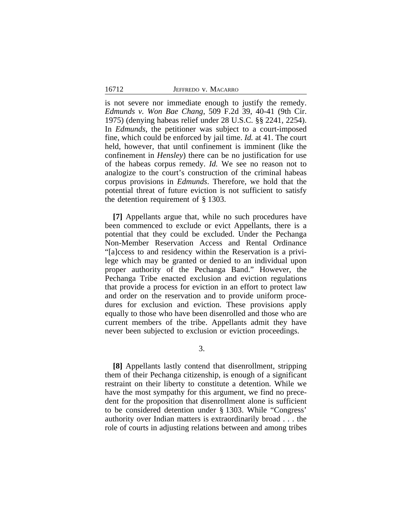|  |  | JEFFREDO V. MACARRO |
|--|--|---------------------|
|--|--|---------------------|

is not severe nor immediate enough to justify the remedy. *Edmunds v. Won Bae Chang*, 509 F.2d 39, 40-41 (9th Cir. 1975) (denying habeas relief under 28 U.S.C. §§ 2241, 2254). In *Edmunds*, the petitioner was subject to a court-imposed fine, which could be enforced by jail time. *Id.* at 41. The court held, however, that until confinement is imminent (like the confinement in *Hensley*) there can be no justification for use of the habeas corpus remedy. *Id.* We see no reason not to analogize to the court's construction of the criminal habeas corpus provisions in *Edmunds*. Therefore, we hold that the potential threat of future eviction is not sufficient to satisfy the detention requirement of § 1303.

**[7]** Appellants argue that, while no such procedures have been commenced to exclude or evict Appellants, there is a potential that they could be excluded. Under the Pechanga Non-Member Reservation Access and Rental Ordinance "[a]ccess to and residency within the Reservation is a privilege which may be granted or denied to an individual upon proper authority of the Pechanga Band." However, the Pechanga Tribe enacted exclusion and eviction regulations that provide a process for eviction in an effort to protect law and order on the reservation and to provide uniform procedures for exclusion and eviction. These provisions apply equally to those who have been disenrolled and those who are current members of the tribe. Appellants admit they have never been subjected to exclusion or eviction proceedings.

3.

**[8]** Appellants lastly contend that disenrollment, stripping them of their Pechanga citizenship, is enough of a significant restraint on their liberty to constitute a detention. While we have the most sympathy for this argument, we find no precedent for the proposition that disenrollment alone is sufficient to be considered detention under § 1303. While "Congress' authority over Indian matters is extraordinarily broad . . . the role of courts in adjusting relations between and among tribes

16712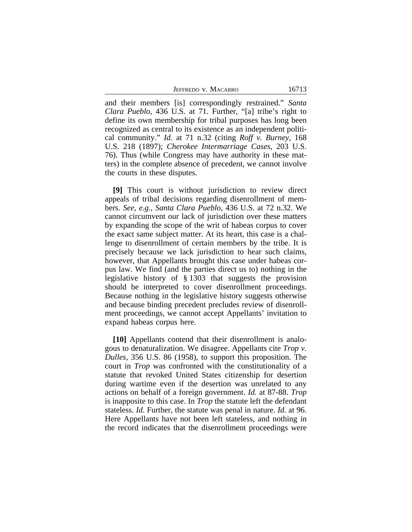JEFFREDO V. MACARRO 16713

and their members [is] correspondingly restrained." *Santa Clara Pueblo*, 436 U.S. at 71. Further, "[a] tribe's right to define its own membership for tribal purposes has long been recognized as central to its existence as an independent political community." *Id.* at 71 n.32 (citing *Roff v. Burney*, 168 U.S. 218 (1897); *Cherokee Intermarriage Cases*, 203 U.S. 76). Thus (while Congress may have authority in these matters) in the complete absence of precedent, we cannot involve the courts in these disputes.

**[9]** This court is without jurisdiction to review direct appeals of tribal decisions regarding disenrollment of members. *See, e.g., Santa Clara Pueblo*, 436 U.S. at 72 n.32. We cannot circumvent our lack of jurisdiction over these matters by expanding the scope of the writ of habeas corpus to cover the exact same subject matter. At its heart, this case is a challenge to disenrollment of certain members by the tribe. It is precisely because we lack jurisdiction to hear such claims, however, that Appellants brought this case under habeas corpus law. We find (and the parties direct us to) nothing in the legislative history of § 1303 that suggests the provision should be interpreted to cover disenrollment proceedings. Because nothing in the legislative history suggests otherwise and because binding precedent precludes review of disenrollment proceedings, we cannot accept Appellants' invitation to expand habeas corpus here.

**[10]** Appellants contend that their disenrollment is analogous to denaturalization. We disagree. Appellants cite *Trop v. Dulles*, 356 U.S. 86 (1958), to support this proposition. The court in *Trop* was confronted with the constitutionality of a statute that revoked United States citizenship for desertion during wartime even if the desertion was unrelated to any actions on behalf of a foreign government. *Id.* at 87-88. *Trop* is inapposite to this case. In *Trop* the statute left the defendant stateless. *Id.* Further, the statute was penal in nature. *Id.* at 96. Here Appellants have not been left stateless, and nothing in the record indicates that the disenrollment proceedings were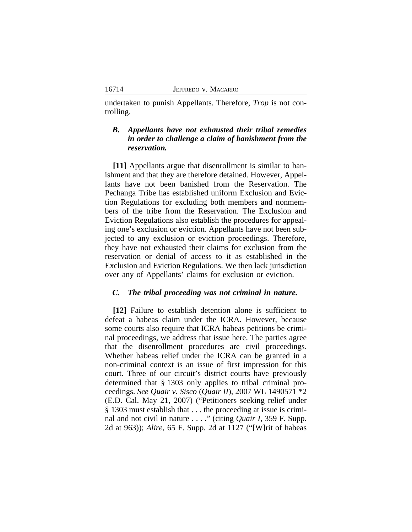undertaken to punish Appellants. Therefore, *Trop* is not controlling.

## *B. Appellants have not exhausted their tribal remedies in order to challenge a claim of banishment from the reservation.*

**[11]** Appellants argue that disenrollment is similar to banishment and that they are therefore detained. However, Appellants have not been banished from the Reservation. The Pechanga Tribe has established uniform Exclusion and Eviction Regulations for excluding both members and nonmembers of the tribe from the Reservation. The Exclusion and Eviction Regulations also establish the procedures for appealing one's exclusion or eviction. Appellants have not been subjected to any exclusion or eviction proceedings. Therefore, they have not exhausted their claims for exclusion from the reservation or denial of access to it as established in the Exclusion and Eviction Regulations. We then lack jurisdiction over any of Appellants' claims for exclusion or eviction.

#### *C. The tribal proceeding was not criminal in nature.*

**[12]** Failure to establish detention alone is sufficient to defeat a habeas claim under the ICRA. However, because some courts also require that ICRA habeas petitions be criminal proceedings, we address that issue here. The parties agree that the disenrollment procedures are civil proceedings. Whether habeas relief under the ICRA can be granted in a non-criminal context is an issue of first impression for this court. Three of our circuit's district courts have previously determined that § 1303 only applies to tribal criminal proceedings. *See Quair v. Sisco* (*Quair II*), 2007 WL 1490571 \*2 (E.D. Cal. May 21, 2007) ("Petitioners seeking relief under § 1303 must establish that . . . the proceeding at issue is criminal and not civil in nature . . . ." (citing *Quair I*, 359 F. Supp. 2d at 963)); *Alire*, 65 F. Supp. 2d at 1127 ("[W]rit of habeas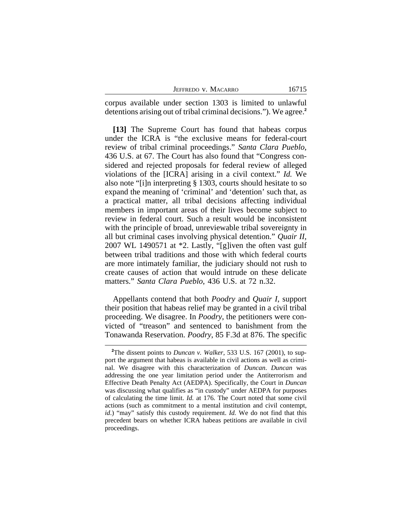| JEFFREDO V. MACARRO |  |
|---------------------|--|
|---------------------|--|

corpus available under section 1303 is limited to unlawful detentions arising out of tribal criminal decisions."). We agree.**<sup>2</sup>**

**[13]** The Supreme Court has found that habeas corpus under the ICRA is "the exclusive means for federal-court review of tribal criminal proceedings." *Santa Clara Pueblo*, 436 U.S. at 67. The Court has also found that "Congress considered and rejected proposals for federal review of alleged violations of the [ICRA] arising in a civil context." *Id.* We also note "[i]n interpreting § 1303, courts should hesitate to so expand the meaning of 'criminal' and 'detention' such that, as a practical matter, all tribal decisions affecting individual members in important areas of their lives become subject to review in federal court. Such a result would be inconsistent with the principle of broad, unreviewable tribal sovereignty in all but criminal cases involving physical detention." *Quair II*, 2007 WL 1490571 at \*2. Lastly, "[g]iven the often vast gulf between tribal traditions and those with which federal courts are more intimately familiar, the judiciary should not rush to create causes of action that would intrude on these delicate matters." *Santa Clara Pueblo*, 436 U.S. at 72 n.32.

Appellants contend that both *Poodry* and *Quair I*, support their position that habeas relief may be granted in a civil tribal proceeding. We disagree. In *Poodry*, the petitioners were convicted of "treason" and sentenced to banishment from the Tonawanda Reservation. *Poodry*, 85 F.3d at 876. The specific

**<sup>2</sup>**The dissent points to *Duncan v. Walker*, 533 U.S. 167 (2001), to support the argument that habeas is available in civil actions as well as criminal. We disagree with this characterization of *Duncan*. *Duncan* was addressing the one year limitation period under the Antiterrorism and Effective Death Penalty Act (AEDPA). Specifically, the Court in *Duncan* was discussing what qualifies as "in custody" under AEDPA for purposes of calculating the time limit. *Id.* at 176. The Court noted that some civil actions (such as commitment to a mental institution and civil contempt, *id*.) "may" satisfy this custody requirement. *Id.* We do not find that this precedent bears on whether ICRA habeas petitions are available in civil proceedings.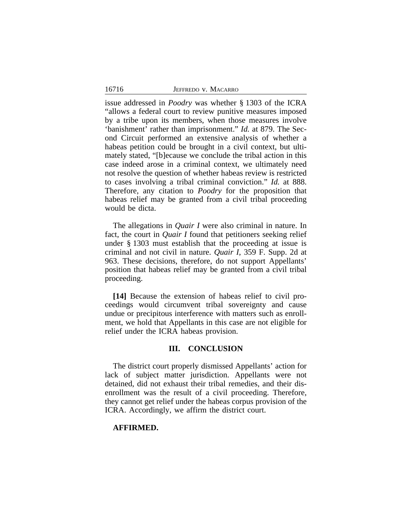|  | JEFFREDO V. MACARRO |
|--|---------------------|
|  |                     |

16716

issue addressed in *Poodry* was whether § 1303 of the ICRA "allows a federal court to review punitive measures imposed by a tribe upon its members, when those measures involve 'banishment' rather than imprisonment." *Id.* at 879. The Second Circuit performed an extensive analysis of whether a habeas petition could be brought in a civil context, but ultimately stated, "[b]ecause we conclude the tribal action in this case indeed arose in a criminal context, we ultimately need not resolve the question of whether habeas review is restricted to cases involving a tribal criminal conviction." *Id.* at 888. Therefore, any citation to *Poodry* for the proposition that habeas relief may be granted from a civil tribal proceeding would be dicta.

The allegations in *Quair I* were also criminal in nature. In fact, the court in *Quair I* found that petitioners seeking relief under § 1303 must establish that the proceeding at issue is criminal and not civil in nature. *Quair I*, 359 F. Supp. 2d at 963. These decisions, therefore, do not support Appellants' position that habeas relief may be granted from a civil tribal proceeding.

**[14]** Because the extension of habeas relief to civil proceedings would circumvent tribal sovereignty and cause undue or precipitous interference with matters such as enrollment, we hold that Appellants in this case are not eligible for relief under the ICRA habeas provision.

## **III. CONCLUSION**

The district court properly dismissed Appellants' action for lack of subject matter jurisdiction. Appellants were not detained, did not exhaust their tribal remedies, and their disenrollment was the result of a civil proceeding. Therefore, they cannot get relief under the habeas corpus provision of the ICRA. Accordingly, we affirm the district court.

#### **AFFIRMED.**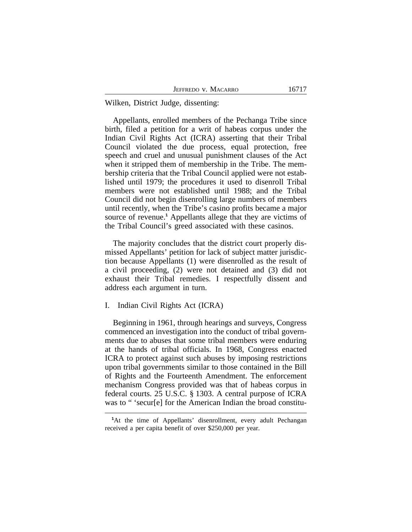Wilken, District Judge, dissenting:

Appellants, enrolled members of the Pechanga Tribe since birth, filed a petition for a writ of habeas corpus under the Indian Civil Rights Act (ICRA) asserting that their Tribal Council violated the due process, equal protection, free speech and cruel and unusual punishment clauses of the Act when it stripped them of membership in the Tribe. The membership criteria that the Tribal Council applied were not established until 1979; the procedures it used to disenroll Tribal members were not established until 1988; and the Tribal Council did not begin disenrolling large numbers of members until recently, when the Tribe's casino profits became a major source of revenue.<sup>1</sup> Appellants allege that they are victims of the Tribal Council's greed associated with these casinos.

The majority concludes that the district court properly dismissed Appellants' petition for lack of subject matter jurisdiction because Appellants (1) were disenrolled as the result of a civil proceeding, (2) were not detained and (3) did not exhaust their Tribal remedies. I respectfully dissent and address each argument in turn.

#### I. Indian Civil Rights Act (ICRA)

Beginning in 1961, through hearings and surveys, Congress commenced an investigation into the conduct of tribal governments due to abuses that some tribal members were enduring at the hands of tribal officials. In 1968, Congress enacted ICRA to protect against such abuses by imposing restrictions upon tribal governments similar to those contained in the Bill of Rights and the Fourteenth Amendment. The enforcement mechanism Congress provided was that of habeas corpus in federal courts. 25 U.S.C. § 1303. A central purpose of ICRA was to " 'secur[e] for the American Indian the broad constitu-

**<sup>1</sup>**At the time of Appellants' disenrollment, every adult Pechangan received a per capita benefit of over \$250,000 per year.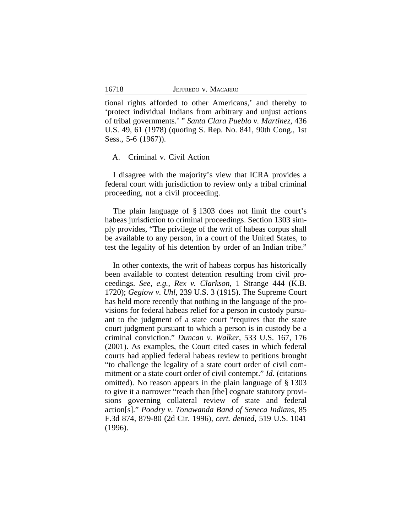tional rights afforded to other Americans,' and thereby to 'protect individual Indians from arbitrary and unjust actions of tribal governments.' " *Santa Clara Pueblo v. Martinez*, 436 U.S. 49, 61 (1978) (quoting S. Rep. No. 841, 90th Cong., 1st Sess., 5-6 (1967)).

#### A. Criminal v. Civil Action

I disagree with the majority's view that ICRA provides a federal court with jurisdiction to review only a tribal criminal proceeding, not a civil proceeding.

The plain language of § 1303 does not limit the court's habeas jurisdiction to criminal proceedings. Section 1303 simply provides, "The privilege of the writ of habeas corpus shall be available to any person, in a court of the United States, to test the legality of his detention by order of an Indian tribe."

In other contexts, the writ of habeas corpus has historically been available to contest detention resulting from civil proceedings. *See, e.g.*, *Rex v. Clarkson*, 1 Strange 444 (K.B. 1720); *Gegiow v. Uhl*, 239 U.S. 3 (1915). The Supreme Court has held more recently that nothing in the language of the provisions for federal habeas relief for a person in custody pursuant to the judgment of a state court "requires that the state court judgment pursuant to which a person is in custody be a criminal conviction." *Duncan v. Walker*, 533 U.S. 167, 176 (2001). As examples, the Court cited cases in which federal courts had applied federal habeas review to petitions brought "to challenge the legality of a state court order of civil commitment or a state court order of civil contempt." *Id.* (citations omitted). No reason appears in the plain language of § 1303 to give it a narrower "reach than [the] cognate statutory provisions governing collateral review of state and federal action[s]." *Poodry v. Tonawanda Band of Seneca Indians*, 85 F.3d 874, 879-80 (2d Cir. 1996), *cert. denied*, 519 U.S. 1041 (1996).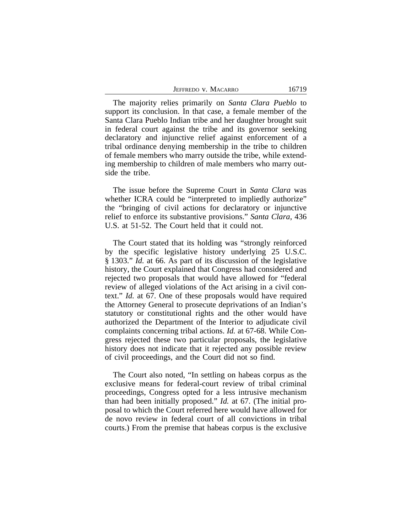| JEFFREDO V. MACARRO | 16719 |
|---------------------|-------|
|---------------------|-------|

The majority relies primarily on *Santa Clara Pueblo* to support its conclusion. In that case, a female member of the Santa Clara Pueblo Indian tribe and her daughter brought suit in federal court against the tribe and its governor seeking declaratory and injunctive relief against enforcement of a tribal ordinance denying membership in the tribe to children of female members who marry outside the tribe, while extending membership to children of male members who marry outside the tribe.

The issue before the Supreme Court in *Santa Clara* was whether ICRA could be "interpreted to impliedly authorize" the "bringing of civil actions for declaratory or injunctive relief to enforce its substantive provisions." *Santa Clara*, 436 U.S. at 51-52. The Court held that it could not.

The Court stated that its holding was "strongly reinforced by the specific legislative history underlying 25 U.S.C. § 1303." *Id.* at 66. As part of its discussion of the legislative history, the Court explained that Congress had considered and rejected two proposals that would have allowed for "federal review of alleged violations of the Act arising in a civil context." *Id.* at 67. One of these proposals would have required the Attorney General to prosecute deprivations of an Indian's statutory or constitutional rights and the other would have authorized the Department of the Interior to adjudicate civil complaints concerning tribal actions. *Id.* at 67-68. While Congress rejected these two particular proposals, the legislative history does not indicate that it rejected any possible review of civil proceedings, and the Court did not so find.

The Court also noted, "In settling on habeas corpus as the exclusive means for federal-court review of tribal criminal proceedings, Congress opted for a less intrusive mechanism than had been initially proposed." *Id.* at 67. (The initial proposal to which the Court referred here would have allowed for de novo review in federal court of all convictions in tribal courts.) From the premise that habeas corpus is the exclusive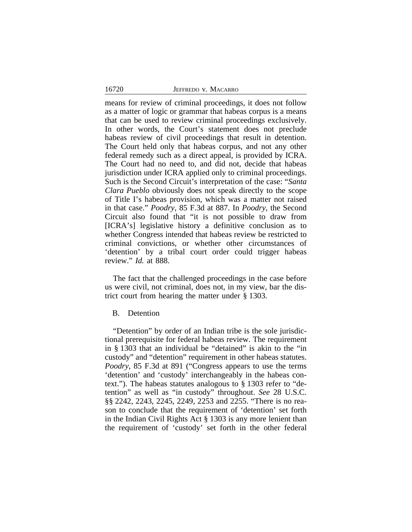means for review of criminal proceedings, it does not follow as a matter of logic or grammar that habeas corpus is a means that can be used to review criminal proceedings exclusively. In other words, the Court's statement does not preclude habeas review of civil proceedings that result in detention. The Court held only that habeas corpus, and not any other federal remedy such as a direct appeal, is provided by ICRA. The Court had no need to, and did not, decide that habeas jurisdiction under ICRA applied only to criminal proceedings. Such is the Second Circuit's interpretation of the case: "*Santa Clara Pueblo* obviously does not speak directly to the scope of Title I's habeas provision, which was a matter not raised in that case." *Poodry*, 85 F.3d at 887. In *Poodry*, the Second Circuit also found that "it is not possible to draw from [ICRA's] legislative history a definitive conclusion as to whether Congress intended that habeas review be restricted to criminal convictions, or whether other circumstances of 'detention' by a tribal court order could trigger habeas review." *Id.* at 888.

The fact that the challenged proceedings in the case before us were civil, not criminal, does not, in my view, bar the district court from hearing the matter under § 1303.

#### B. Detention

"Detention" by order of an Indian tribe is the sole jurisdictional prerequisite for federal habeas review. The requirement in § 1303 that an individual be "detained" is akin to the "in custody" and "detention" requirement in other habeas statutes. *Poodry*, 85 F.3d at 891 ("Congress appears to use the terms 'detention' and 'custody' interchangeably in the habeas context."). The habeas statutes analogous to § 1303 refer to "detention" as well as "in custody" throughout. *See* 28 U.S.C. §§ 2242, 2243, 2245, 2249, 2253 and 2255. "There is no reason to conclude that the requirement of 'detention' set forth in the Indian Civil Rights Act § 1303 is any more lenient than the requirement of 'custody' set forth in the other federal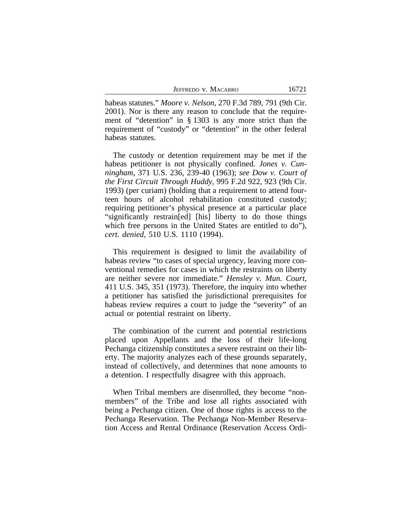|  | JEFFREDO V. MACARRO |
|--|---------------------|
|  |                     |

habeas statutes." *Moore v. Nelson*, 270 F.3d 789, 791 (9th Cir. 2001). Nor is there any reason to conclude that the requirement of "detention" in § 1303 is any more strict than the requirement of "custody" or "detention" in the other federal habeas statutes.

The custody or detention requirement may be met if the habeas petitioner is not physically confined. *Jones v. Cunningham*, 371 U.S. 236, 239-40 (1963); *see Dow v. Court of the First Circuit Through Huddy*, 995 F.2d 922, 923 (9th Cir. 1993) (per curiam) (holding that a requirement to attend fourteen hours of alcohol rehabilitation constituted custody; requiring petitioner's physical presence at a particular place "significantly restrain[ed] [his] liberty to do those things which free persons in the United States are entitled to do"), *cert. denied*, 510 U.S. 1110 (1994).

This requirement is designed to limit the availability of habeas review "to cases of special urgency, leaving more conventional remedies for cases in which the restraints on liberty are neither severe nor immediate." *Hensley v. Mun. Court*, 411 U.S. 345, 351 (1973). Therefore, the inquiry into whether a petitioner has satisfied the jurisdictional prerequisites for habeas review requires a court to judge the "severity" of an actual or potential restraint on liberty.

The combination of the current and potential restrictions placed upon Appellants and the loss of their life-long Pechanga citizenship constitutes a severe restraint on their liberty. The majority analyzes each of these grounds separately, instead of collectively, and determines that none amounts to a detention. I respectfully disagree with this approach.

When Tribal members are disenrolled, they become "nonmembers" of the Tribe and lose all rights associated with being a Pechanga citizen. One of those rights is access to the Pechanga Reservation. The Pechanga Non-Member Reservation Access and Rental Ordinance (Reservation Access Ordi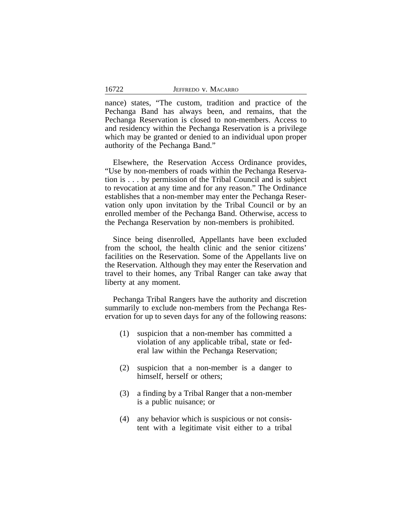nance) states, "The custom, tradition and practice of the Pechanga Band has always been, and remains, that the Pechanga Reservation is closed to non-members. Access to and residency within the Pechanga Reservation is a privilege which may be granted or denied to an individual upon proper authority of the Pechanga Band."

Elsewhere, the Reservation Access Ordinance provides, "Use by non-members of roads within the Pechanga Reservation is . . . by permission of the Tribal Council and is subject to revocation at any time and for any reason." The Ordinance establishes that a non-member may enter the Pechanga Reservation only upon invitation by the Tribal Council or by an enrolled member of the Pechanga Band. Otherwise, access to the Pechanga Reservation by non-members is prohibited.

Since being disenrolled, Appellants have been excluded from the school, the health clinic and the senior citizens' facilities on the Reservation. Some of the Appellants live on the Reservation. Although they may enter the Reservation and travel to their homes, any Tribal Ranger can take away that liberty at any moment.

Pechanga Tribal Rangers have the authority and discretion summarily to exclude non-members from the Pechanga Reservation for up to seven days for any of the following reasons:

- (1) suspicion that a non-member has committed a violation of any applicable tribal, state or federal law within the Pechanga Reservation;
- (2) suspicion that a non-member is a danger to himself, herself or others;
- (3) a finding by a Tribal Ranger that a non-member is a public nuisance; or
- (4) any behavior which is suspicious or not consistent with a legitimate visit either to a tribal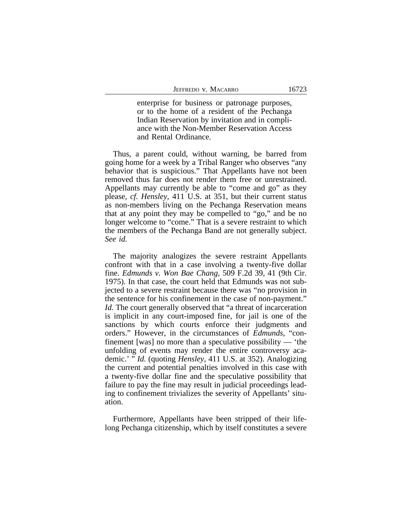enterprise for business or patronage purposes, or to the home of a resident of the Pechanga Indian Reservation by invitation and in compliance with the Non-Member Reservation Access and Rental Ordinance.

Thus, a parent could, without warning, be barred from going home for a week by a Tribal Ranger who observes "any behavior that is suspicious." That Appellants have not been removed thus far does not render them free or unrestrained. Appellants may currently be able to "come and go" as they please, *cf. Hensley*, 411 U.S. at 351, but their current status as non-members living on the Pechanga Reservation means that at any point they may be compelled to "go," and be no longer welcome to "come." That is a severe restraint to which the members of the Pechanga Band are not generally subject. *See id.*

The majority analogizes the severe restraint Appellants confront with that in a case involving a twenty-five dollar fine. *Edmunds v. Won Bae Chang*, 509 F.2d 39, 41 (9th Cir. 1975). In that case, the court held that Edmunds was not subjected to a severe restraint because there was "no provision in the sentence for his confinement in the case of non-payment." *Id.* The court generally observed that "a threat of incarceration is implicit in any court-imposed fine, for jail is one of the sanctions by which courts enforce their judgments and orders." However, in the circumstances of *Edmunds*, "confinement [was] no more than a speculative possibility — 'the unfolding of events may render the entire controversy academic.' " *Id.* (quoting *Hensley*, 411 U.S. at 352). Analogizing the current and potential penalties involved in this case with a twenty-five dollar fine and the speculative possibility that failure to pay the fine may result in judicial proceedings leading to confinement trivializes the severity of Appellants' situation.

Furthermore, Appellants have been stripped of their lifelong Pechanga citizenship, which by itself constitutes a severe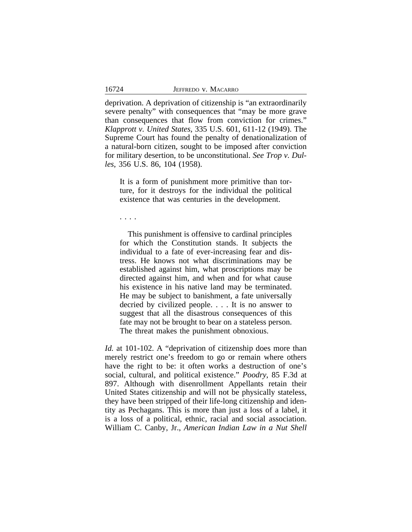deprivation. A deprivation of citizenship is "an extraordinarily severe penalty" with consequences that "may be more grave than consequences that flow from conviction for crimes." *Klapprott v. United States*, 335 U.S. 601, 611-12 (1949). The Supreme Court has found the penalty of denationalization of a natural-born citizen, sought to be imposed after conviction for military desertion, to be unconstitutional. *See Trop v. Dulles*, 356 U.S. 86, 104 (1958).

It is a form of punishment more primitive than torture, for it destroys for the individual the political existence that was centuries in the development.

. . . .

This punishment is offensive to cardinal principles for which the Constitution stands. It subjects the individual to a fate of ever-increasing fear and distress. He knows not what discriminations may be established against him, what proscriptions may be directed against him, and when and for what cause his existence in his native land may be terminated. He may be subject to banishment, a fate universally decried by civilized people. . . . It is no answer to suggest that all the disastrous consequences of this fate may not be brought to bear on a stateless person. The threat makes the punishment obnoxious.

*Id.* at 101-102. A "deprivation of citizenship does more than merely restrict one's freedom to go or remain where others have the right to be: it often works a destruction of one's social, cultural, and political existence." *Poodry*, 85 F.3d at 897. Although with disenrollment Appellants retain their United States citizenship and will not be physically stateless, they have been stripped of their life-long citizenship and identity as Pechagans. This is more than just a loss of a label, it is a loss of a political, ethnic, racial and social association. William C. Canby, Jr., *American Indian Law in a Nut Shell*